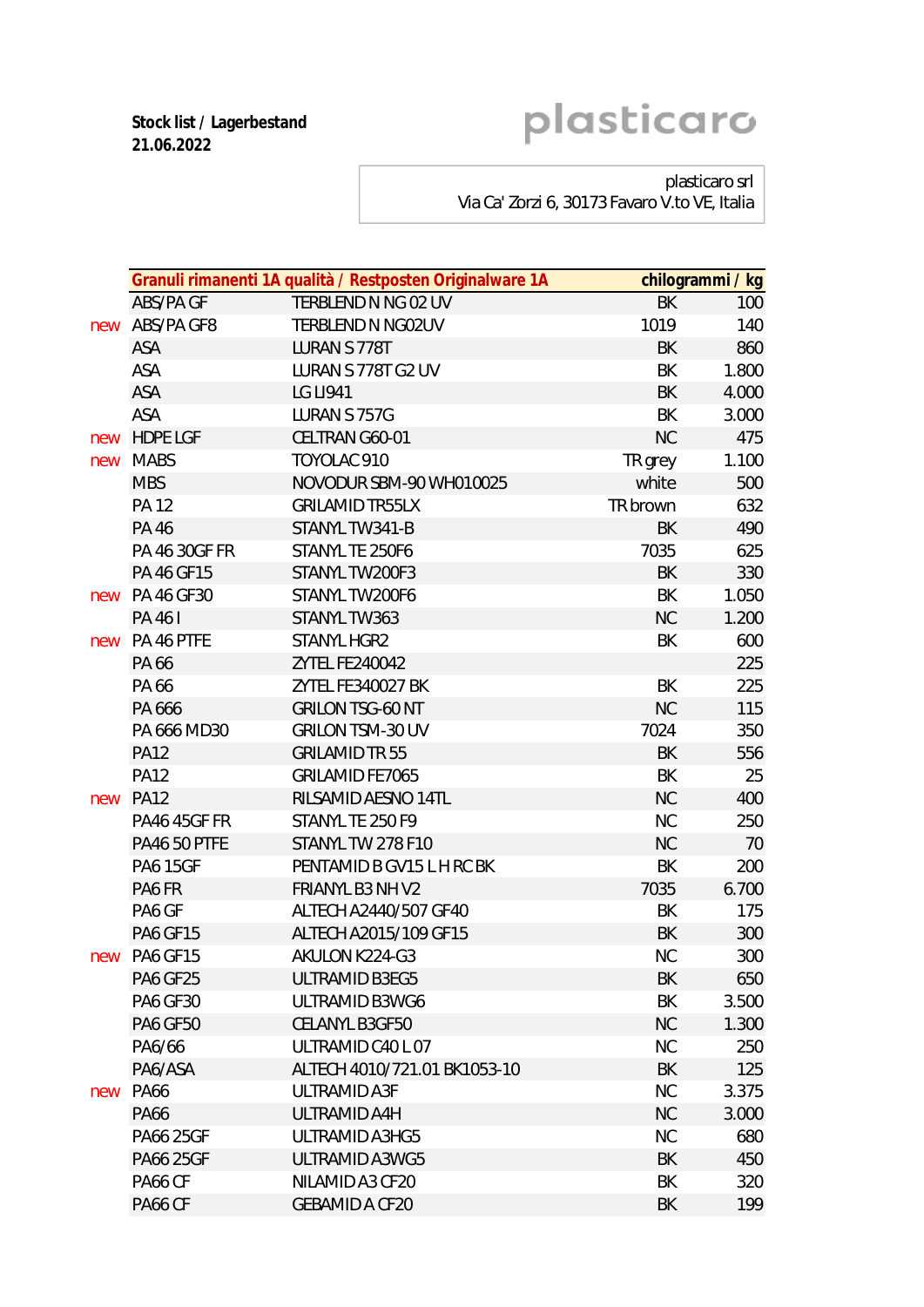**Stock list / Lagerbestand 21.06.2022**

## plasticaro

plasticaro srl

Via Ca' Zorzi 6, 30173 Favaro V.to VE, Italia

|     |                     | Granuli rimanenti 1A qualità / Restposten Originalware 1A |           | chilogrammi / kg |
|-----|---------------------|-----------------------------------------------------------|-----------|------------------|
|     | ABS/PA GF           | TERBLEND N NG 02 UV                                       | <b>BK</b> | 100              |
| new | ABS/PA GF8          | TERBLEND N NG02UV                                         | 1019      | 140              |
|     | ASA                 | <b>LURAN S 778T</b>                                       | <b>BK</b> | 860              |
|     | ASA                 | LURAN S 778T G2 UV                                        | BK        | 1.800            |
|     | ASA                 | <b>LG LI941</b>                                           | <b>BK</b> | 4.000            |
|     | ASA                 | LURAN S 757G                                              | BK        | 3.000            |
| new | <b>HDPE LGF</b>     | CELTRAN G60-01                                            | <b>NC</b> | 475              |
| new | MABS                | TOYOLAC 910                                               | TR grey   | 1.100            |
|     | <b>MBS</b>          | NOVODUR SBM-90 WH010025                                   | white     | 500              |
|     | <b>PA 12</b>        | <b>GRILAMID TR55LX</b>                                    | TR brown  | 632              |
|     | <b>PA 46</b>        | STANYL TW341-B                                            | BK        | 490              |
|     | PA 46 30GF FR       | STANYL TE 250F6                                           | 7035      | 625              |
|     | PA 46 GF15          | STANYL TW200F3                                            | BK        | 330              |
|     | new PA 46 GF30      | STANYL TW200F6                                            | BK        | 1.050            |
|     | PA 461              | STANYL TW363                                              | <b>NC</b> | 1.200            |
|     | new PA 46 PTFE      | STANYL HGR2                                               | BK        | 600              |
|     | PA 66               | ZYTEL FE240042                                            |           | 225              |
|     | PA 66               | ZYTEL FE340027 BK                                         | BK        | 225              |
|     | PA 666              | <b>GRILON TSG-60 NT</b>                                   | <b>NC</b> | 115              |
|     | PA 666 MD30         | GRILON TSM-30 UV                                          | 7024      | 350              |
|     | <b>PA12</b>         | <b>GRILAMID TR 55</b>                                     | <b>BK</b> | 556              |
|     | <b>PA12</b>         | GRILAMID FE7065                                           | BK        | 25               |
| new | <b>PA12</b>         | RILSAMID AESNO 14TL                                       | <b>NC</b> | 400              |
|     | <b>PA46 45GF FR</b> | STANYL TE 250 F9                                          | <b>NC</b> | 250              |
|     | <b>PA46 50 PTFE</b> | STANYL TW 278 F10                                         | <b>NC</b> | 70               |
|     | <b>PA6 15GF</b>     | PENTAMID B GV15 L H RC BK                                 | BK        | 200              |
|     | PA6 FR              | FRIANYL B3 NH V2                                          | 7035      | 6.700            |
|     | PA6 GF              | ALTECH A2440/507 GF40                                     | BK        | 175              |
|     | <b>PA6 GF15</b>     | ALTECH A2015/109 GF15                                     | BK        | 300              |
| new | <b>PA6 GF15</b>     | AKULON K224-G3                                            | <b>NC</b> | 300              |
|     | PA6 GF25            | ULTRAMID B3EG5                                            | BK        | 650              |
|     | <b>PA6 GF30</b>     | ULTRAMID B3WG6                                            | BK        | 3.500            |
|     | <b>PA6 GF50</b>     | CELANYL B3GF50                                            | <b>NC</b> | 1.300            |
|     | PA6/66              | ULTRAMID C40 L 07                                         | <b>NC</b> | 250              |
|     | PA6/ASA             | ALTECH 4010/721.01 BK1053-10                              | BK        | 125              |
| new | <b>PA66</b>         | ULTRAMID A3F                                              | <b>NC</b> | 3.375            |
|     | <b>PA66</b>         | ULTRAMID A4H                                              | <b>NC</b> | 3.000            |
|     | PA66 25GF           | ULTRAMID A3HG5                                            | <b>NC</b> | 680              |
|     | PA66 25GF           | ULTRAMID A3WG5                                            | BK        | 450              |
|     | PA66 CF             | NILAMID A3 CF20                                           | BK        | 320              |
|     | PA66 CF             | <b>GEBAMID A CF20</b>                                     | BK        | 199              |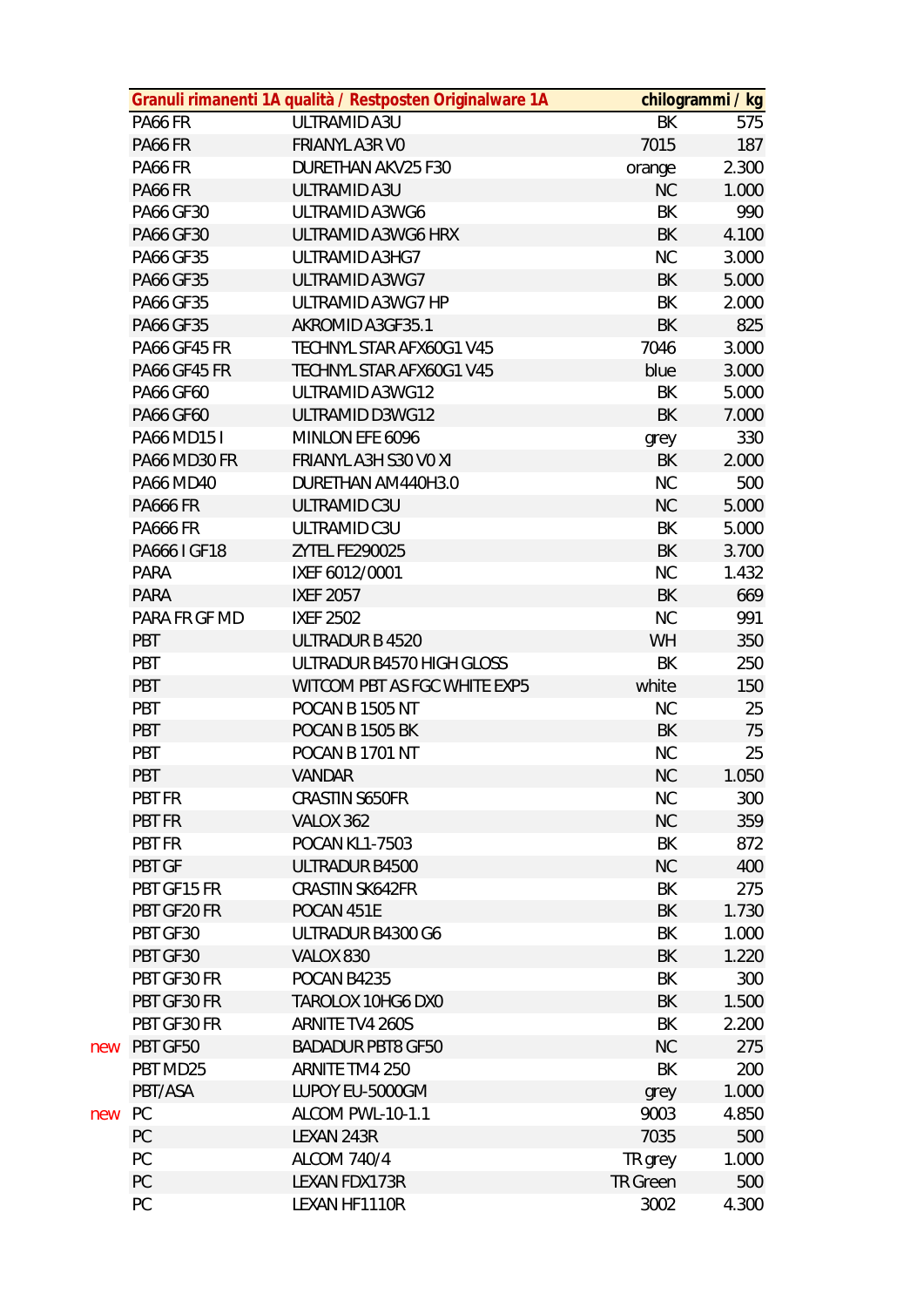|     |                     | Granuli rimanenti 1A qualità / Restposten Originalware 1A |                 | chilogrammi / kg |
|-----|---------------------|-----------------------------------------------------------|-----------------|------------------|
|     | PA66 FR             | ULTRAMID A3U                                              | BK              | 575              |
|     | PA66 FR             | <b>FRIANYL A3R VO</b>                                     | 7015            | 187              |
|     | PA66 FR             | DURETHAN AKV25 F30                                        | orange          | 2.300            |
|     | PA66 FR             | ULTRAMID A3U                                              | NC              | 1.000            |
|     | PA66 GF30           | ULTRAMID A3WG6                                            | BK              | 990              |
|     | PA66 GF30           | ULTRAMID A3WG6 HRX                                        | BK              | 4.100            |
|     | PA66 GF35           | ULTRAMID A3HG7                                            | <b>NC</b>       | 3.000            |
|     | <b>PA66 GF35</b>    | ULTRAMID A3WG7                                            | BK              | 5.000            |
|     | <b>PA66 GF35</b>    | ULTRAMID A3WG7 HP                                         | BK              | 2.000            |
|     | PA66 GF35           | AKROMID A3GF35.1                                          | BK              | 825              |
|     | <b>PA66 GF45 FR</b> | TECHNYL STAR AFX60G1 V45                                  | 7046            | 3.000            |
|     | PA66 GF45 FR        | TECHNYL STAR AFX60G1 V45                                  | blue            | 3.000            |
|     | PA66 GF60           | ULTRAMID A3WG12                                           | BK              | 5.000            |
|     | <b>PA66 GF60</b>    | ULTRAMID D3WG12                                           | <b>BK</b>       | 7.000            |
|     | PA66 MD15 I         | MINLON EFE 6096                                           | grey            | 330              |
|     | PA66 MD30 FR        | FRIANYL A3H S30 VO XI                                     | BK              | 2.000            |
|     | <b>PA66 MD40</b>    | DURETHAN AM440H3.0                                        | <b>NC</b>       | 500              |
|     | <b>PA666 FR</b>     | ULTRAMID C3U                                              | NC              | 5.000            |
|     | <b>PA666 FR</b>     | ULTRAMID C3U                                              | BK              | 5.000            |
|     | PA666 I GF18        | ZYTEL FE290025                                            | BK              | 3.700            |
|     | <b>PARA</b>         | IXEF 6012/0001                                            | <b>NC</b>       | 1.432            |
|     | <b>PARA</b>         | <b>IXEF 2057</b>                                          | BK              | 669              |
|     | PARA FR GF MD       | <b>IXEF 2502</b>                                          | <b>NC</b>       | 991              |
|     | <b>PBT</b>          | ULTRADUR B 4520                                           | <b>WH</b>       | 350              |
|     | <b>PBT</b>          | ULTRADUR B4570 HIGH GLOSS                                 | BK              | 250              |
|     | PBT                 | WITCOM PBT AS FGC WHITE EXP5                              | white           | 150              |
|     | <b>PBT</b>          | POCAN B 1505 NT                                           | <b>NC</b>       | 25               |
|     | <b>PBT</b>          | POCAN B 1505 BK                                           | BK              | 75               |
|     | <b>PBT</b>          | POCAN B 1701 NT                                           | <b>NC</b>       | 25               |
|     | <b>PBT</b>          | <b>VANDAR</b>                                             | <b>NC</b>       | 1.050            |
|     | PBT FR              | CRASTIN S650FR                                            | <b>NC</b>       | 300              |
|     | PBT FR              | VALOX 362                                                 | <b>NC</b>       | 359              |
|     | <b>PBT FR</b>       | <b>POCAN KL1-7503</b>                                     | BK              | 872              |
|     | <b>PBT GF</b>       | ULTRADUR B4500                                            | <b>NC</b>       | 400              |
|     | PBT GF15 FR         | <b>CRASTIN SK642FR</b>                                    | BK              | 275              |
|     | PBT GF20 FR         | POCAN 451E                                                | BK              | 1.730            |
|     | PBT GF30            | ULTRADUR B4300 G6                                         | BK              | 1.000            |
|     | PBT GF30            | VALOX 830                                                 | BK              | 1.220            |
|     | PBT GF30 FR         | POCAN B4235                                               | BK              | 300              |
|     | PBT GF30 FR         | TAROLOX 10HG6 DX0                                         | BK              | 1.500            |
|     | PBT GF30 FR         | ARNITE TV4 260S                                           | BK              | 2.200            |
| new | PBT GF50            | <b>BADADUR PBT8 GF50</b>                                  | <b>NC</b>       | 275              |
|     | PBT MD25            | ARNITE TM4 250                                            | BK              | 200              |
|     | PBT/ASA             | LUPOY EU-5000GM                                           | grey            | 1.000            |
| new | <b>PC</b>           | ALCOM PWL-10-1.1                                          | 9003            | 4.850            |
|     | PC                  | LEXAN 243R                                                | 7035            | 500              |
|     | PC                  | <b>ALCOM 740/4</b>                                        | TR grey         | 1.000            |
|     | PC                  | LEXAN FDX173R                                             | <b>TR Green</b> | 500              |
|     | PC                  | LEXAN HF1110R                                             | 3002            | 4.300            |
|     |                     |                                                           |                 |                  |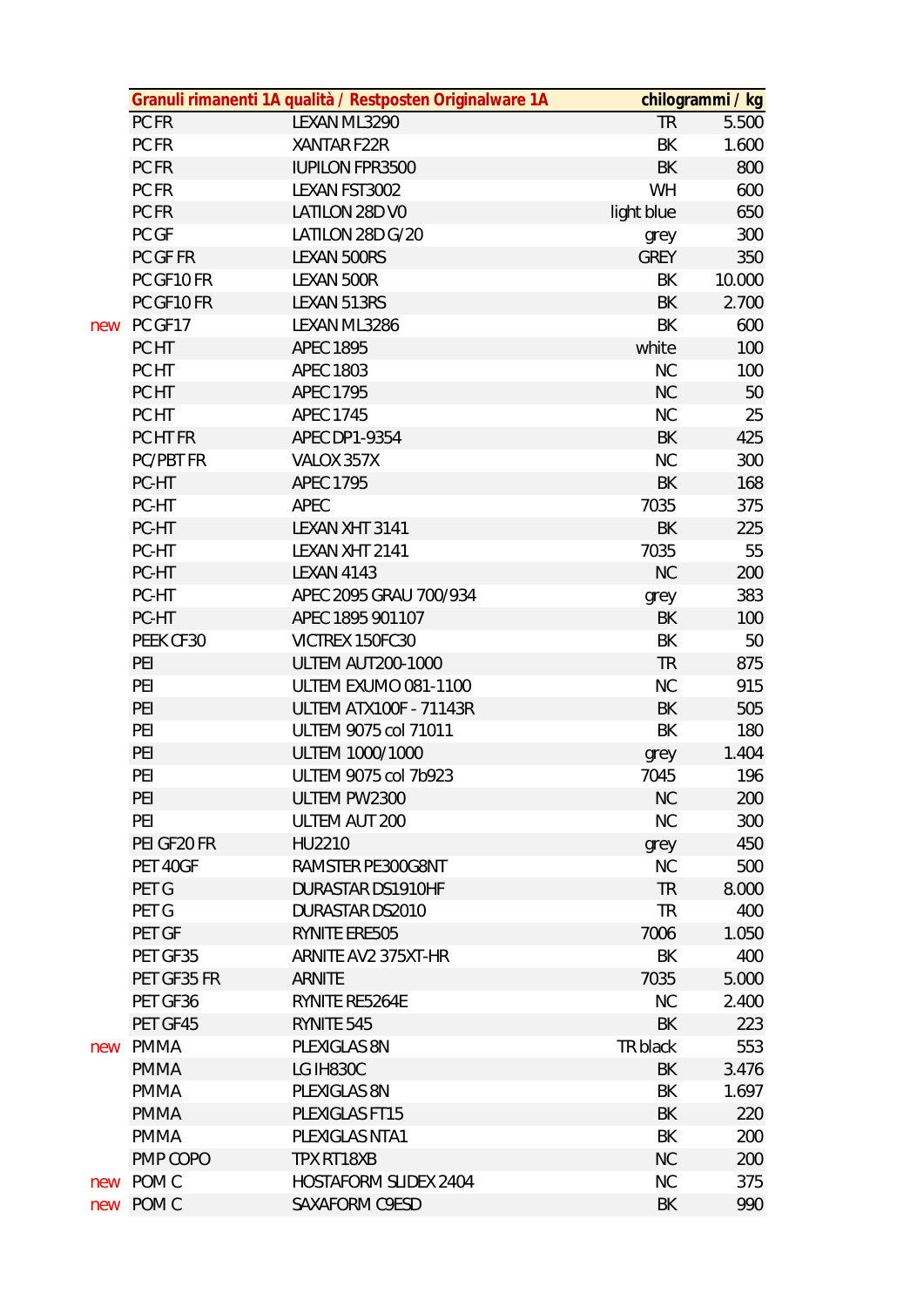|     |                            | Granuli rimanenti 1A qualità / Restposten Originalware 1A |                   | chilogrammi / kg |
|-----|----------------------------|-----------------------------------------------------------|-------------------|------------------|
|     | PC FR                      | LEXAN ML3290                                              | <b>TR</b>         | 5.500            |
|     | PC FR                      | XANTAR F22R                                               | BK                | 1.600            |
|     | PC FR                      | <b>IUPILON FPR3500</b>                                    | BK                | 800              |
|     | PC FR                      | LEXAN FST3002                                             | WH                | 600              |
|     | PC FR                      | LATILON 28D VO                                            | light blue        | 650              |
|     | PC GF                      | LATILON 28D G/20                                          | grey              | 300              |
|     | PC GF FR                   | LEXAN 500RS                                               | <b>GREY</b>       | 350              |
|     | PC GF10 FR                 | LEXAN 500R                                                | BK                | 10.000           |
|     | PC GF10 FR                 | LEXAN 513RS                                               | BK                | 2.700            |
| new | PC GF17                    | LEXAN ML3286                                              | BK                | 600              |
|     | PC HT                      | <b>APEC 1895</b>                                          | white             | 100              |
|     | PC HT                      | <b>APEC 1803</b>                                          | <b>NC</b>         | 100              |
|     | PC HT                      | <b>APEC 1795</b>                                          | <b>NC</b>         | 50               |
|     | PC HT                      | <b>APEC 1745</b>                                          | NC                | 25               |
|     | PC HT FR                   | APEC DP1-9354                                             | BK                | 425              |
|     | PC/PBT FR                  | VALOX 357X                                                | NC                | 300              |
|     | PC-HT                      | <b>APEC 1795</b>                                          | BK                | 168              |
|     | PC-HT                      | APEC                                                      | 7035              | 375              |
|     | PC-HT                      | LEXAN XHT 3141                                            | BK                | 225              |
|     | PC-HT                      | LEXAN XHT 2141                                            | 7035              | 55               |
|     | PC-HT                      | <b>LEXAN 4143</b>                                         | <b>NC</b>         | 200              |
|     | PC-HT                      | APEC 2095 GRAU 700/934                                    | grey              | 383              |
|     | PC-HT                      | APEC 1895 901107                                          | BK                | 100              |
|     | PEEK CF30                  | VICTREX 150FC30                                           | BK                | 50               |
|     | PEI                        | <b>ULTEM AUT200-1000</b>                                  | <b>TR</b>         | 875              |
|     | PEI                        | ULTEM EXUMO 081-1100                                      | NC                | 915              |
|     | PEI                        | <b>ULTEM ATX100F - 71143R</b>                             | BK                | 505              |
|     | PEI                        | ULTEM 9075 col 71011                                      | BK                | 180              |
|     | PEI                        | ULTEM 1000/1000                                           |                   | 1.404            |
|     | PEI                        | ULTEM 9075 col 7b923                                      | grey<br>7045      | 196              |
|     | PEI                        | ULTEM PW2300                                              | <b>NC</b>         | 200              |
|     | PEI                        | ULTEM AUT 200                                             | NC                | 300              |
|     | PEI GF20 FR                | HU2210                                                    |                   | 450              |
|     | PET 40GF                   | RAMSTER PE300G8NT                                         | grey<br><b>NC</b> | 500              |
|     | PET G                      | <b>DURASTAR DS1910HF</b>                                  | <b>TR</b>         | 8.000            |
|     | PET G                      | DURASTAR DS2010                                           | <b>TR</b>         | 400              |
|     | PET GF                     | RYNITE ERE505                                             | 7006              | 1.050            |
|     | PET GF35                   | ARNITE AV2 375XT-HR                                       | BK                | 400              |
|     | PET GF35 FR                | <b>ARNITE</b>                                             | 7035              | 5.000            |
|     |                            |                                                           |                   |                  |
|     | PET GF36                   | RYNITE RE5264E<br>RYNITE 545                              | <b>NC</b><br>BK   | 2.400            |
|     | PET GF45                   |                                                           |                   | 223<br>553       |
| new | <b>PMMA</b>                | PLEXIGLAS 8N                                              | TR black          |                  |
|     | <b>PMMA</b><br><b>PMMA</b> | LG IH830C                                                 | BK                | 3.476            |
|     |                            | PLEXIGLAS 8N                                              | BK                | 1.697            |
|     | <b>PMMA</b>                | PLEXIGLAS FT15                                            | BK                | 220              |
|     | <b>PMMA</b>                | PLEXIGLAS NTA1                                            | BK                | 200              |
|     | PMP COPO                   | TPX RT18XB                                                | <b>NC</b>         | 200              |
| new | POM <sub>C</sub>           | <b>HOSTAFORM SLIDEX 2404</b>                              | <b>NC</b>         | 375              |
|     | new POM C                  | SAXAFORM C9ESD                                            | BK                | 990              |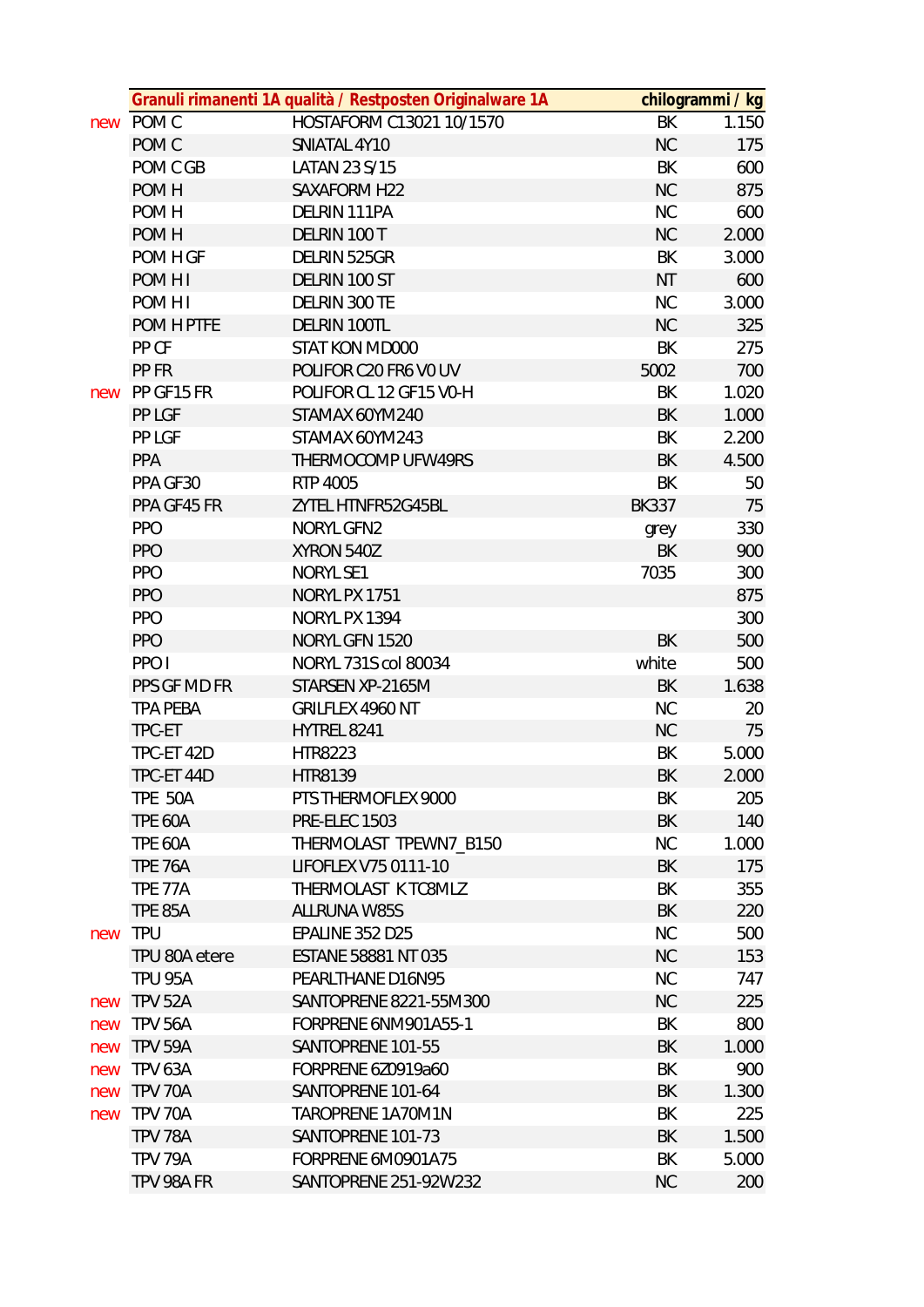|     |                  | Granuli rimanenti 1A qualità / Restposten Originalware 1A |              | chilogrammi / kg |
|-----|------------------|-----------------------------------------------------------|--------------|------------------|
|     | new POM C        | HOSTAFORM C13021 10/1570                                  | BK           | 1.150            |
|     | POM <sub>C</sub> | SNIATAL 4Y10                                              | <b>NC</b>    | 175              |
|     | POM C GB         | LATAN 23 S/15                                             | BK           | 600              |
|     | POM H            | SAXAFORM H22                                              | <b>NC</b>    | 875              |
|     | POM H            | DELRIN 111PA                                              | NC           | 600              |
|     | POM H            | DELRIN 100 T                                              | <b>NC</b>    | 2.000            |
|     | POM H GF         | DELRIN 525GR                                              | BK           | 3.000            |
|     | POM H I          | DELRIN 100 ST                                             | <b>NT</b>    | 600              |
|     | POM H I          | DELRIN 300 TE                                             | <b>NC</b>    | 3.000            |
|     | POM H PTFE       | DELRIN 100TL                                              | <b>NC</b>    | 325              |
|     | PP CF            | STAT KON MD000                                            | BK           | 275              |
|     | PP FR            | POLIFOR C20 FR6 V0 UV                                     | 5002         | 700              |
| new | PP GF15 FR       | POLIFOR CL 12 GF15 V0-H                                   | BK           | 1.020            |
|     | PP LGF           | STAMAX 60YM240                                            | BK           | 1.000            |
|     | PP LGF           | STAMAX 60YM243                                            | BK           | 2.200            |
|     | PPA              | THERMOCOMP UFW49RS                                        | BK           | 4.500            |
|     | PPA GF30         | RTP 4005                                                  | BK           | 50               |
|     | PPA GF45 FR      | ZYTEL HTNFR52G45BL                                        | <b>BK337</b> | 75               |
|     | <b>PPO</b>       | <b>NORYL GFN2</b>                                         | grey         | 330              |
|     | <b>PPO</b>       | XYRON 540Z                                                | BK           | 900              |
|     | <b>PPO</b>       | <b>NORYL SE1</b>                                          | 7035         | 300              |
|     | <b>PPO</b>       | NORYL PX 1751                                             |              | 875              |
|     | <b>PPO</b>       | NORYL PX 1394                                             |              | 300              |
|     | <b>PPO</b>       | NORYL GFN 1520                                            | <b>BK</b>    | 500              |
|     | PPO I            | NORYL 731S col 80034                                      | white        | 500              |
|     | PPS GF MD FR     | STARSEN XP-2165M                                          | BK           | 1.638            |
|     | <b>TPA PEBA</b>  | GRILFLEX 4960 NT                                          | <b>NC</b>    | 20               |
|     | TPC-ET           | HYTREL 8241                                               | <b>NC</b>    | 75               |
|     | TPC-ET 42D       | HTR8223                                                   | BK           | 5.000            |
|     | TPC-ET 44D       | <b>HTR8139</b>                                            | <b>BK</b>    | 2.000            |
|     | <b>TPE 50A</b>   | PTS THERMOFLEX 9000                                       | BK           | 205              |
|     | <b>TPE 60A</b>   | <b>PRE-ELEC 1503</b>                                      | BK           | 140              |
|     | TPE 60A          | THERMOLAST TPEWN7_B150                                    | <b>NC</b>    | 1.000            |
|     | <b>TPE 76A</b>   | LIFOFLEX V75 0111-10                                      | BK           | 175              |
|     | <b>TPE 77A</b>   | THERMOLAST K TC8MLZ                                       | BK           | 355              |
|     | <b>TPE 85A</b>   | <b>ALLRUNA W85S</b>                                       | <b>BK</b>    | 220              |
| new | <b>TPU</b>       | EPALINE 352 D25                                           | NC           | 500              |
|     | TPU 80A etere    | <b>ESTANE 58881 NT 035</b>                                | <b>NC</b>    | 153              |
|     | <b>TPU 95A</b>   | PEARLTHANE D16N95                                         | <b>NC</b>    | 747              |
| new | <b>TPV 52A</b>   | SANTOPRENE 8221-55M300                                    | <b>NC</b>    | 225              |
| new | <b>TPV 56A</b>   | FORPRENE 6NM901A55-1                                      | BK           | 800              |
| new | TPV 59A          | SANTOPRENE 101-55                                         | BK           | 1.000            |
| new | <b>TPV 63A</b>   | FORPRENE 6Z0919a60                                        | BK           | 900              |
| new | TPV 70A          | SANTOPRENE 101-64                                         | BK           | 1.300            |
| new | <b>TPV 70A</b>   | TAROPRENE 1A70M1N                                         | BK           | 225              |
|     | TPV 78A          | SANTOPRENE 101-73                                         | BK           | 1.500            |
|     | TPV 79A          | FORPRENE 6M0901A75                                        | BK           | 5.000            |
|     | TPV 98A FR       | SANTOPRENE 251-92W232                                     | <b>NC</b>    | 200              |